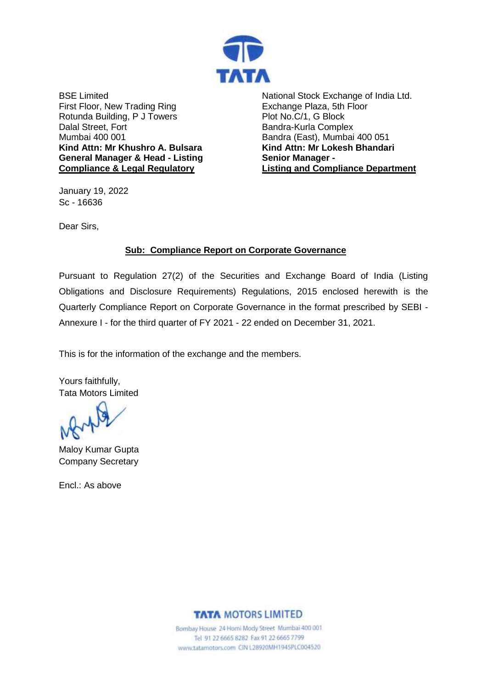

BSE Limited First Floor, New Trading Ring Rotunda Building, P J Towers Dalal Street, Fort Mumbai 400 001 **Kind Attn: Mr Khushro A. Bulsara General Manager & Head - Listing Compliance & Legal Regulatory**

National Stock Exchange of India Ltd. Exchange Plaza, 5th Floor Plot No.C/1, G Block Bandra-Kurla Complex Bandra (East), Mumbai 400 051 **Kind Attn: Mr Lokesh Bhandari Senior Manager - Listing and Compliance Department**

January 19, 2022 Sc - 16636

Dear Sirs,

### **Sub: Compliance Report on Corporate Governance**

Pursuant to Regulation 27(2) of the Securities and Exchange Board of India (Listing Obligations and Disclosure Requirements) Regulations, 2015 enclosed herewith is the Quarterly Compliance Report on Corporate Governance in the format prescribed by SEBI - Annexure I - for the third quarter of FY 2021 - 22 ended on December 31, 2021.

This is for the information of the exchange and the members.

Yours faithfully, Tata Motors Limited

Maloy Kumar Gupta Company Secretary

Encl.: As above

**TATA MOTORS LIMITED** 

Bombay House 24 Homi Mody Street Mumbai 400 001 Tel 91 22 6665 8282 Fax 91 22 6665 7799 www.tatamotors.com CIN L28920MH1945PLC004520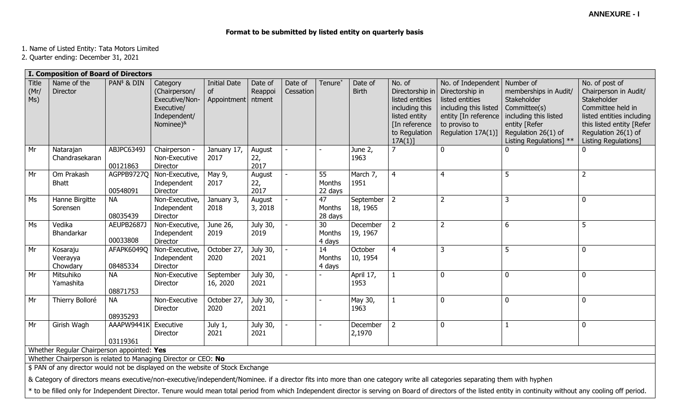# **Format to be submitted by listed entity on quarterly basis**

1. Name of Listed Entity: Tata Motors Limited

2. Quarter ending: December 31, 2021

|                                                                                                              | I. Composition of Board of Directors                                                                                                                                       |                               |                                                                                                        |                                          |                              |                      |                         |                         |                                                                                                                                  |                                                                                                                                                              |                                                                                                                                                  |                                                                                                                                                                                      |
|--------------------------------------------------------------------------------------------------------------|----------------------------------------------------------------------------------------------------------------------------------------------------------------------------|-------------------------------|--------------------------------------------------------------------------------------------------------|------------------------------------------|------------------------------|----------------------|-------------------------|-------------------------|----------------------------------------------------------------------------------------------------------------------------------|--------------------------------------------------------------------------------------------------------------------------------------------------------------|--------------------------------------------------------------------------------------------------------------------------------------------------|--------------------------------------------------------------------------------------------------------------------------------------------------------------------------------------|
| Title<br>(Mr)<br>Ms)                                                                                         | Name of the<br><b>Director</b>                                                                                                                                             | PAN <sup>\$</sup> & DIN       | Category<br>(Chairperson/<br>Executive/Non-<br>Executive/<br>Independent/<br>Nominee) <sup>&amp;</sup> | <b>Initial Date</b><br>of<br>Appointment | Date of<br>Reappoi<br>ntment | Date of<br>Cessation | Tenure <sup>*</sup>     | Date of<br><b>Birth</b> | No. of<br>Directorship in<br>listed entities<br>including this<br>listed entity<br>[In reference]<br>to Regulation<br>$17A(1)$ ] | No. of Independent   Number of<br>Directorship in<br>listed entities<br>including this listed<br>entity [In reference<br>to proviso to<br>Regulation 17A(1)] | memberships in Audit/<br>Stakeholder<br>Committee(s)<br>including this listed<br>entity [Refer<br>Regulation 26(1) of<br>Listing Regulations] ** | No. of post of<br>Chairperson in Audit/<br>Stakeholder<br>Committee held in<br>listed entities including<br>this listed entity [Refer<br>Regulation 26(1) of<br>Listing Regulations] |
| Mr                                                                                                           | Natarajan<br>Chandrasekaran                                                                                                                                                | ABJPC6349J<br>00121863        | Chairperson -<br>Non-Executive<br>Director                                                             | January 17,<br>2017                      | August<br>22,<br>2017        |                      |                         | June 2,<br>1963         | $\overline{7}$                                                                                                                   | $\mathbf 0$                                                                                                                                                  | $\mathbf{0}$                                                                                                                                     | $\mathbf 0$                                                                                                                                                                          |
| Mr                                                                                                           | Om Prakash<br><b>Bhatt</b>                                                                                                                                                 | AGPPB9727Q<br>00548091        | Non-Executive,<br>Independent<br>Director                                                              | May 9,<br>2017                           | August<br>22,<br>2017        |                      | 55<br>Months<br>22 days | March 7,<br>1951        | $\overline{4}$                                                                                                                   | $\overline{4}$                                                                                                                                               | 5                                                                                                                                                | $\overline{2}$                                                                                                                                                                       |
| Ms                                                                                                           | Hanne Birgitte<br>Sorensen                                                                                                                                                 | <b>NA</b><br>08035439         | Non-Executive,<br>Independent<br>Director                                                              | January 3,<br>2018                       | August<br>3,2018             |                      | 47<br>Months<br>28 days | September<br>18, 1965   | $\overline{2}$                                                                                                                   | $\overline{2}$                                                                                                                                               | 3                                                                                                                                                | $\mathbf 0$                                                                                                                                                                          |
| Ms                                                                                                           | Vedika<br>Bhandarkar                                                                                                                                                       | <b>AEUPB2687J</b><br>00033808 | Non-Executive,<br>Independent<br>Director                                                              | June 26,<br>2019                         | July 30,<br>2019             |                      | 30<br>Months<br>4 days  | December<br>19, 1967    | $\overline{2}$                                                                                                                   | $\overline{2}$                                                                                                                                               | 6                                                                                                                                                | 5                                                                                                                                                                                    |
| Mr                                                                                                           | Kosaraju<br>Veerayya<br>Chowdary                                                                                                                                           | AFAPK6049Q<br>08485334        | Non-Executive,<br>Independent<br>Director                                                              | October 27,<br>2020                      | July 30,<br>2021             |                      | 14<br>Months<br>4 days  | October<br>10, 1954     | $\overline{4}$                                                                                                                   | $\overline{3}$                                                                                                                                               | 5                                                                                                                                                | $\mathbf 0$                                                                                                                                                                          |
| Mr                                                                                                           | Mitsuhiko<br>Yamashita                                                                                                                                                     | <b>NA</b><br>08871753         | Non-Executive<br>Director                                                                              | September<br>16, 2020                    | July 30,<br>2021             |                      |                         | April 17,<br>1953       | $\mathbf{1}$                                                                                                                     | $\mathbf{0}$                                                                                                                                                 | $\Omega$                                                                                                                                         | $\mathbf 0$                                                                                                                                                                          |
| Mr                                                                                                           | Thierry Bolloré                                                                                                                                                            | <b>NA</b><br>08935293         | Non-Executive<br>Director                                                                              | October 27,<br>2020                      | July 30,<br>2021             |                      |                         | May 30,<br>1963         | $\mathbf{1}$                                                                                                                     | $\mathbf 0$                                                                                                                                                  | $\mathbf{0}$                                                                                                                                     | $\mathbf 0$                                                                                                                                                                          |
| Mr                                                                                                           | Girish Wagh                                                                                                                                                                | AAAPW9441K<br>03119361        | Executive<br>Director                                                                                  | July 1,<br>2021                          | July 30,<br>2021             |                      |                         | December<br>2,1970      | $\overline{2}$                                                                                                                   | $\mathbf 0$                                                                                                                                                  |                                                                                                                                                  | $\mathbf 0$                                                                                                                                                                          |
| Whether Regular Chairperson appointed: Yes<br>Whether Chairperson is related to Managing Director or CEO: No |                                                                                                                                                                            |                               |                                                                                                        |                                          |                              |                      |                         |                         |                                                                                                                                  |                                                                                                                                                              |                                                                                                                                                  |                                                                                                                                                                                      |
|                                                                                                              |                                                                                                                                                                            |                               |                                                                                                        |                                          |                              |                      |                         |                         |                                                                                                                                  |                                                                                                                                                              |                                                                                                                                                  |                                                                                                                                                                                      |
|                                                                                                              | \$ PAN of any director would not be displayed on the website of Stock Exchange                                                                                             |                               |                                                                                                        |                                          |                              |                      |                         |                         |                                                                                                                                  |                                                                                                                                                              |                                                                                                                                                  |                                                                                                                                                                                      |
|                                                                                                              | & Category of directors means executive/non-executive/independent/Nominee. if a director fits into more than one category write all categories separating them with hyphen |                               |                                                                                                        |                                          |                              |                      |                         |                         |                                                                                                                                  |                                                                                                                                                              |                                                                                                                                                  |                                                                                                                                                                                      |

\* to be filled only for Independent Director. Tenure would mean total period from which Independent director is serving on Board of directors of the listed entity in continuity without any cooling off period.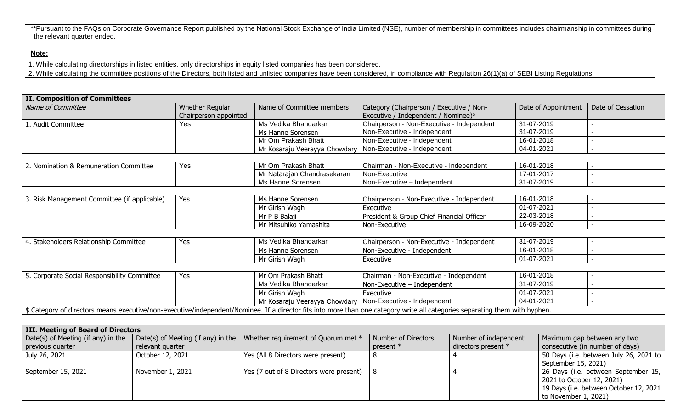\*\*Pursuant to the FAQs on Corporate Governance Report published by the National Stock Exchange of India Limited (NSE), number of membership in committees includes chairmanship in committees during the relevant quarter ended.

# **Note:**

1. While calculating directorships in listed entities, only directorships in equity listed companies has been considered.

2. While calculating the committee positions of the Directors, both listed and unlisted companies have been considered, in compliance with Regulation 26(1)(a) of SEBI Listing Regulations.

| <b>II. Composition of Committees</b>                                                                                                                                         |     |                                                             |                                                                                              |                     |                          |
|------------------------------------------------------------------------------------------------------------------------------------------------------------------------------|-----|-------------------------------------------------------------|----------------------------------------------------------------------------------------------|---------------------|--------------------------|
| Name of Committee<br>Whether Regular<br>Chairperson appointed                                                                                                                |     | Name of Committee members                                   | Category (Chairperson / Executive / Non-<br>Executive / Independent / Nominee) $\frac{1}{2}$ | Date of Appointment | Date of Cessation        |
| 1. Audit Committee                                                                                                                                                           | Yes | Ms Vedika Bhandarkar                                        | Chairperson - Non-Executive - Independent                                                    | 31-07-2019          |                          |
|                                                                                                                                                                              |     | Ms Hanne Sorensen                                           | Non-Executive - Independent                                                                  | 31-07-2019          |                          |
|                                                                                                                                                                              |     | Mr Om Prakash Bhatt                                         | Non-Executive - Independent                                                                  | 16-01-2018          |                          |
|                                                                                                                                                                              |     | Mr Kosaraju Veerayya Chowdary   Non-Executive - Independent |                                                                                              | 04-01-2021          |                          |
|                                                                                                                                                                              |     |                                                             |                                                                                              |                     |                          |
| 2. Nomination & Remuneration Committee                                                                                                                                       | Yes | Mr Om Prakash Bhatt                                         | Chairman - Non-Executive - Independent                                                       | 16-01-2018          | -                        |
|                                                                                                                                                                              |     | Mr Natarajan Chandrasekaran                                 | Non-Executive                                                                                | 17-01-2017          |                          |
|                                                                                                                                                                              |     | Ms Hanne Sorensen                                           | Non-Executive - Independent                                                                  | 31-07-2019          | $\overline{\phantom{a}}$ |
|                                                                                                                                                                              |     |                                                             |                                                                                              |                     |                          |
| 3. Risk Management Committee (if applicable)                                                                                                                                 | Yes | Ms Hanne Sorensen                                           | Chairperson - Non-Executive - Independent                                                    | 16-01-2018          |                          |
|                                                                                                                                                                              |     | Mr Girish Wagh                                              | Executive                                                                                    | 01-07-2021          |                          |
|                                                                                                                                                                              |     | Mr P B Balaji                                               | President & Group Chief Financial Officer                                                    | 22-03-2018          |                          |
|                                                                                                                                                                              |     | Mr Mitsuhiko Yamashita                                      | Non-Executive                                                                                | 16-09-2020          |                          |
|                                                                                                                                                                              |     |                                                             |                                                                                              |                     |                          |
| 4. Stakeholders Relationship Committee                                                                                                                                       | Yes | Ms Vedika Bhandarkar                                        | Chairperson - Non-Executive - Independent                                                    | 31-07-2019          |                          |
|                                                                                                                                                                              |     | Ms Hanne Sorensen                                           | Non-Executive - Independent                                                                  | 16-01-2018          |                          |
|                                                                                                                                                                              |     | Mr Girish Wagh                                              | Executive                                                                                    | 01-07-2021          |                          |
|                                                                                                                                                                              |     |                                                             |                                                                                              |                     |                          |
| 5. Corporate Social Responsibility Committee                                                                                                                                 | Yes | Mr Om Prakash Bhatt                                         | Chairman - Non-Executive - Independent                                                       | 16-01-2018          |                          |
|                                                                                                                                                                              |     | Ms Vedika Bhandarkar                                        | Non-Executive - Independent                                                                  | 31-07-2019          |                          |
|                                                                                                                                                                              |     | Mr Girish Wagh                                              | Executive                                                                                    | 01-07-2021          |                          |
|                                                                                                                                                                              |     | Mr Kosaraju Veerayya Chowdary   Non-Executive - Independent |                                                                                              | 04-01-2021          |                          |
| \$ Category of directors means executive/non-executive/independent/Nominee. If a director fits into more than one category write all categories separating them with hyphen. |     |                                                             |                                                                                              |                     |                          |

| III. Meeting of Board of Directors |                  |                                                                            |                            |                       |                                        |  |  |  |  |  |
|------------------------------------|------------------|----------------------------------------------------------------------------|----------------------------|-----------------------|----------------------------------------|--|--|--|--|--|
| Date(s) of Meeting (if any) in the |                  | Date(s) of Meeting (if any) in the   Whether requirement of Quorum met $*$ | <b>Number of Directors</b> | Number of independent | Maximum gap between any two            |  |  |  |  |  |
| previous quarter                   | relevant quarter |                                                                            | present $*$                | directors present *   | consecutive (in number of days)        |  |  |  |  |  |
| July 26, 2021                      | October 12, 2021 | Yes (All 8 Directors were present)                                         |                            |                       | 50 Days (i.e. between July 26, 2021 to |  |  |  |  |  |
|                                    |                  |                                                                            |                            |                       | September 15, 2021)                    |  |  |  |  |  |
| September 15, 2021                 | November 1, 2021 | Yes (7 out of 8 Directors were present)                                    |                            |                       | 26 Days (i.e. between September 15,    |  |  |  |  |  |
|                                    |                  |                                                                            |                            |                       | 2021 to October 12, 2021)              |  |  |  |  |  |
|                                    |                  |                                                                            |                            |                       | 19 Days (i.e. between October 12, 2021 |  |  |  |  |  |
|                                    |                  |                                                                            |                            |                       | to November 1, 2021)                   |  |  |  |  |  |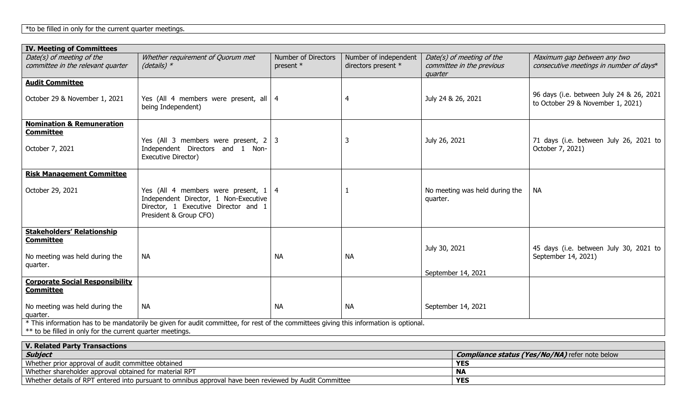|  |  |  |  | *to be filled in only for the current quarter meetings. |
|--|--|--|--|---------------------------------------------------------|
|  |  |  |  |                                                         |

| <b>IV. Meeting of Committees</b>                                                                                                       |                                                                                                                                                        |                                  |                                              |                                                                   |                                                                               |  |  |  |
|----------------------------------------------------------------------------------------------------------------------------------------|--------------------------------------------------------------------------------------------------------------------------------------------------------|----------------------------------|----------------------------------------------|-------------------------------------------------------------------|-------------------------------------------------------------------------------|--|--|--|
| Date(s) of meeting of the<br>committee in the relevant quarter                                                                         | Whether requirement of Quorum met<br>(details) $*$                                                                                                     | Number of Directors<br>present * | Number of independent<br>directors present * | Date(s) of meeting of the<br>committee in the previous<br>quarter | Maximum gap between any two<br>consecutive meetings in number of days*        |  |  |  |
| <b>Audit Committee</b>                                                                                                                 |                                                                                                                                                        |                                  |                                              |                                                                   |                                                                               |  |  |  |
| October 29 & November 1, 2021                                                                                                          | Yes (All 4 members were present, all $ 4$<br>being Independent)                                                                                        |                                  | 4                                            | July 24 & 26, 2021                                                | 96 days (i.e. between July 24 & 26, 2021<br>to October 29 & November 1, 2021) |  |  |  |
| <b>Nomination &amp; Remuneration</b>                                                                                                   |                                                                                                                                                        |                                  |                                              |                                                                   |                                                                               |  |  |  |
| <b>Committee</b>                                                                                                                       |                                                                                                                                                        |                                  |                                              |                                                                   |                                                                               |  |  |  |
| October 7, 2021                                                                                                                        | Yes (All 3 members were present, $2 \mid 3$<br>Independent Directors and 1 Non-<br>Executive Director)                                                 |                                  | 3                                            | July 26, 2021                                                     | 71 days (i.e. between July 26, 2021 to<br>October 7, 2021)                    |  |  |  |
| <b>Risk Management Committee</b>                                                                                                       |                                                                                                                                                        |                                  |                                              |                                                                   |                                                                               |  |  |  |
|                                                                                                                                        |                                                                                                                                                        |                                  |                                              |                                                                   |                                                                               |  |  |  |
| October 29, 2021                                                                                                                       | Yes (All 4 members were present, $1 \mid 4$<br>Independent Director, 1 Non-Executive<br>Director, 1 Executive Director and 1<br>President & Group CFO) |                                  |                                              | No meeting was held during the<br>quarter.                        | <b>NA</b>                                                                     |  |  |  |
| <b>Stakeholders' Relationship</b>                                                                                                      |                                                                                                                                                        |                                  |                                              |                                                                   |                                                                               |  |  |  |
| <b>Committee</b><br>No meeting was held during the                                                                                     | <b>NA</b>                                                                                                                                              | <b>NA</b>                        | <b>NA</b>                                    | July 30, 2021                                                     | 45 days (i.e. between July 30, 2021 to<br>September 14, 2021)                 |  |  |  |
| quarter.                                                                                                                               |                                                                                                                                                        |                                  |                                              |                                                                   |                                                                               |  |  |  |
|                                                                                                                                        |                                                                                                                                                        |                                  |                                              | September 14, 2021                                                |                                                                               |  |  |  |
| <b>Corporate Social Responsibility</b><br><b>Committee</b>                                                                             |                                                                                                                                                        |                                  |                                              |                                                                   |                                                                               |  |  |  |
| No meeting was held during the<br>quarter.                                                                                             | <b>NA</b>                                                                                                                                              | <b>NA</b>                        | <b>NA</b>                                    | September 14, 2021                                                |                                                                               |  |  |  |
| * This information has to be mandatorily be given for audit committee, for rest of the committees giving this information is optional. |                                                                                                                                                        |                                  |                                              |                                                                   |                                                                               |  |  |  |
| ** to be filled in only for the current quarter meetings.                                                                              |                                                                                                                                                        |                                  |                                              |                                                                   |                                                                               |  |  |  |

| <b>V. Related Party Transactions</b>                                                                   |                                                       |  |  |  |  |  |  |
|--------------------------------------------------------------------------------------------------------|-------------------------------------------------------|--|--|--|--|--|--|
| Subject                                                                                                | <b>Compliance status (Yes/No/NA)</b> refer note below |  |  |  |  |  |  |
| Whether prior approval of audit committee obtained                                                     | <b>YES</b>                                            |  |  |  |  |  |  |
| Whether shareholder approval obtained for material RPT                                                 | - NA                                                  |  |  |  |  |  |  |
| Whether details of RPT entered into pursuant to omnibus approval have been reviewed by Audit Committee | <b>YES</b>                                            |  |  |  |  |  |  |